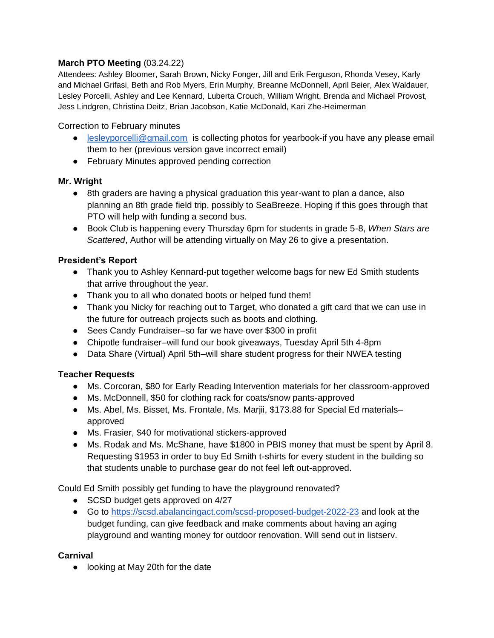## **March PTO Meeting** (03.24.22)

Attendees: Ashley Bloomer, Sarah Brown, Nicky Fonger, Jill and Erik Ferguson, Rhonda Vesey, Karly and Michael Grifasi, Beth and Rob Myers, Erin Murphy, Breanne McDonnell, April Beier, Alex Waldauer, Lesley Porcelli, Ashley and Lee Kennard, Luberta Crouch, William Wright, Brenda and Michael Provost, Jess Lindgren, Christina Deitz, Brian Jacobson, Katie McDonald, Kari Zhe-Heimerman

#### Correction to February minutes

- [lesleyporcelli@gmail.com](mailto:lesleyporcelli@gmail.com) is collecting photos for yearbook-if you have any please email them to her (previous version gave incorrect email)
- February Minutes approved pending correction

## **Mr. Wright**

- 8th graders are having a physical graduation this year-want to plan a dance, also planning an 8th grade field trip, possibly to SeaBreeze. Hoping if this goes through that PTO will help with funding a second bus.
- Book Club is happening every Thursday 6pm for students in grade 5-8, *When Stars are Scattered*, Author will be attending virtually on May 26 to give a presentation.

## **President's Report**

- Thank you to Ashley Kennard-put together welcome bags for new Ed Smith students that arrive throughout the year.
- Thank you to all who donated boots or helped fund them!
- Thank you Nicky for reaching out to Target, who donated a gift card that we can use in the future for outreach projects such as boots and clothing.
- Sees Candy Fundraiser–so far we have over \$300 in profit
- Chipotle fundraiser–will fund our book giveaways, Tuesday April 5th 4-8pm
- Data Share (Virtual) April 5th–will share student progress for their NWEA testing

## **Teacher Requests**

- Ms. Corcoran, \$80 for Early Reading Intervention materials for her classroom-approved
- Ms. McDonnell, \$50 for clothing rack for coats/snow pants-approved
- Ms. Abel, Ms. Bisset, Ms. Frontale, Ms. Mariii, \$173.88 for Special Ed materials– approved
- Ms. Frasier, \$40 for motivational stickers-approved
- Ms. Rodak and Ms. McShane, have \$1800 in PBIS money that must be spent by April 8. Requesting \$1953 in order to buy Ed Smith t-shirts for every student in the building so that students unable to purchase gear do not feel left out-approved.

Could Ed Smith possibly get funding to have the playground renovated?

- SCSD budget gets approved on 4/27
- Go to<https://scsd.abalancingact.com/scsd-proposed-budget-2022-23> and look at the budget funding, can give feedback and make comments about having an aging playground and wanting money for outdoor renovation. Will send out in listserv.

## **Carnival**

● looking at May 20th for the date